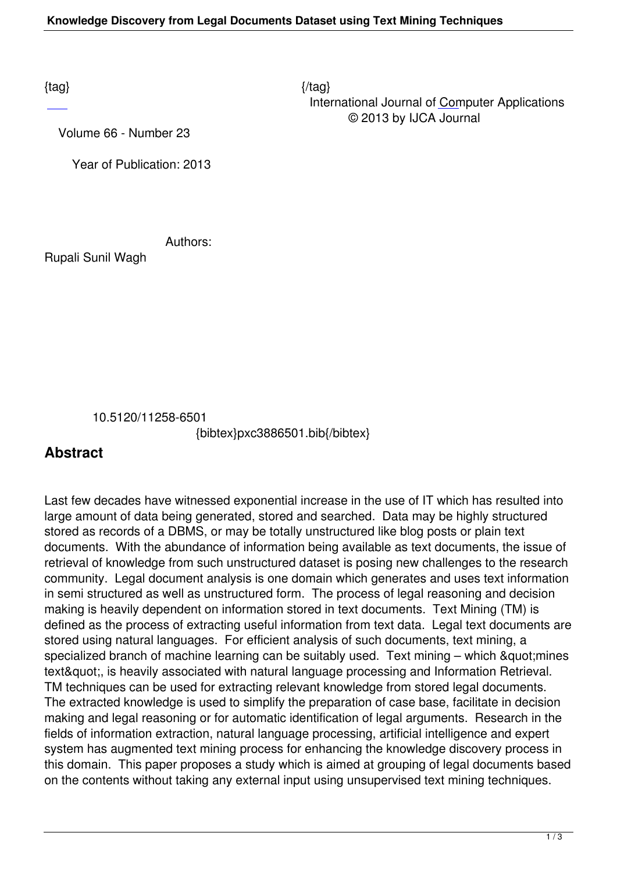$\{tag\}$  International Journal of Computer Applications © 2013 by IJCA Journal

Volume 66 - Number 23

Year of Publication: 2013

Authors:

Rupali Sunil Wagh

10.5120/11258-6501

{bibtex}pxc3886501.bib{/bibtex}

## **Abstract**

Last few decades have witnessed exponential increase in the use of IT which has resulted into large amount of data being generated, stored and searched. Data may be highly structured stored as records of a DBMS, or may be totally unstructured like blog posts or plain text documents. With the abundance of information being available as text documents, the issue of retrieval of knowledge from such unstructured dataset is posing new challenges to the research community. Legal document analysis is one domain which generates and uses text information in semi structured as well as unstructured form. The process of legal reasoning and decision making is heavily dependent on information stored in text documents. Text Mining (TM) is defined as the process of extracting useful information from text data. Legal text documents are stored using natural languages. For efficient analysis of such documents, text mining, a specialized branch of machine learning can be suitably used. Text mining  $-$  which  $\&$  quot; mines text", is heavily associated with natural language processing and Information Retrieval. TM techniques can be used for extracting relevant knowledge from stored legal documents. The extracted knowledge is used to simplify the preparation of case base, facilitate in decision making and legal reasoning or for automatic identification of legal arguments. Research in the fields of information extraction, natural language processing, artificial intelligence and expert system has augmented text mining process for enhancing the knowledge discovery process in this domain. This paper proposes a study which is aimed at grouping of legal documents based on the contents without taking any external input using unsupervised text mining techniques.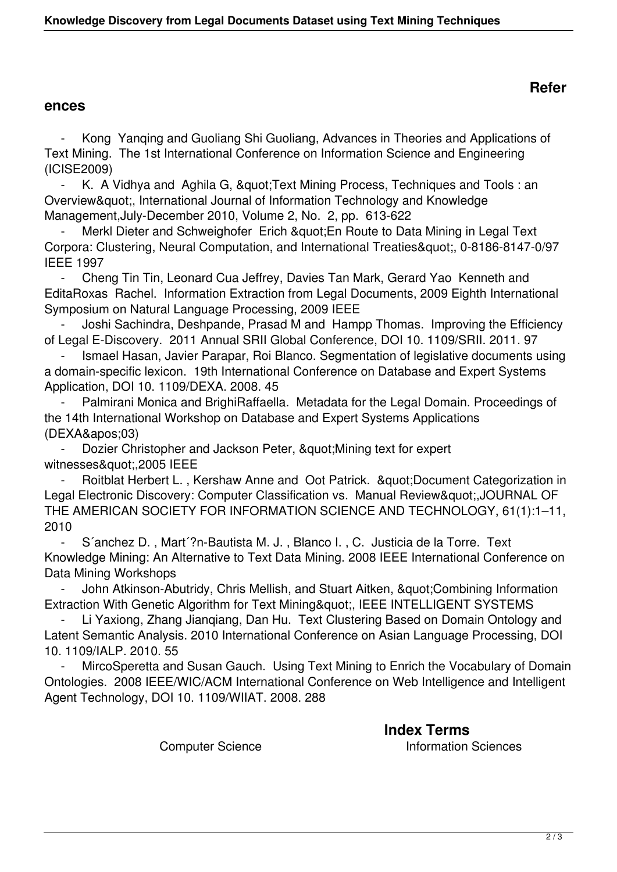## **ences**

 - Kong Yanqing and Guoliang Shi Guoliang, Advances in Theories and Applications of Text Mining. The 1st International Conference on Information Science and Engineering (ICISE2009)

K. A Vidhya and Aghila G, " Text Mining Process, Techniques and Tools : an Overview", International Journal of Information Technology and Knowledge Management,July-December 2010, Volume 2, No. 2, pp. 613-622

Merkl Dieter and Schweighofer Erich & quot; En Route to Data Mining in Legal Text Corpora: Clustering, Neural Computation, and International Treaties", 0-8186-8147-0/97 IEEE 1997

 - Cheng Tin Tin, Leonard Cua Jeffrey, Davies Tan Mark, Gerard Yao Kenneth and EditaRoxas Rachel. Information Extraction from Legal Documents, 2009 Eighth International Symposium on Natural Language Processing, 2009 IEEE

 - Joshi Sachindra, Deshpande, Prasad M and Hampp Thomas. Improving the Efficiency of Legal E-Discovery. 2011 Annual SRII Global Conference, DOI 10. 1109/SRII. 2011. 97

Ismael Hasan, Javier Parapar, Roi Blanco. Segmentation of legislative documents using a domain-specific lexicon. 19th International Conference on Database and Expert Systems Application, DOI 10. 1109/DEXA. 2008. 45

Palmirani Monica and BrighiRaffaella. Metadata for the Legal Domain. Proceedings of the 14th International Workshop on Database and Expert Systems Applications  $(DEXA\':03)$ 

Dozier Christopher and Jackson Peter, & quot: Mining text for expert witnesses",2005 IEEE

Roitblat Herbert L., Kershaw Anne and Oot Patrick. " Document Categorization in Legal Electronic Discovery: Computer Classification vs. Manual Review",JOURNAL OF THE AMERICAN SOCIETY FOR INFORMATION SCIENCE AND TECHNOLOGY, 61(1):1–11, 2010

 - S´anchez D. , Mart´?n-Bautista M. J. , Blanco I. , C. Justicia de la Torre. Text Knowledge Mining: An Alternative to Text Data Mining. 2008 IEEE International Conference on Data Mining Workshops

John Atkinson-Abutridy, Chris Mellish, and Stuart Aitken, &quot: Combining Information Extraction With Genetic Algorithm for Text Mining", IEEE INTELLIGENT SYSTEMS

Li Yaxiong, Zhang Jiangiang, Dan Hu. Text Clustering Based on Domain Ontology and Latent Semantic Analysis. 2010 International Conference on Asian Language Processing, DOI 10. 1109/IALP. 2010. 55

MircoSperetta and Susan Gauch. Using Text Mining to Enrich the Vocabulary of Domain Ontologies. 2008 IEEE/WIC/ACM International Conference on Web Intelligence and Intelligent Agent Technology, DOI 10. 1109/WIIAT. 2008. 288

> **Index Terms Computer Science Information Sciences**

## **Refer**